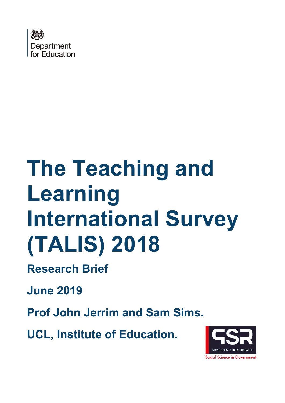

# **The Teaching and Learning International Survey (TALIS) 2018**

**Research Brief** 

**June 2019** 

**Prof John Jerrim and Sam Sims.** 

**UCL, Institute of Education.** 

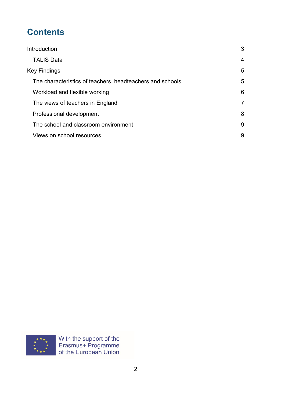## **Contents**

| Introduction                                              | 3              |
|-----------------------------------------------------------|----------------|
| <b>TALIS Data</b>                                         | 4              |
| <b>Key Findings</b>                                       | 5              |
| The characteristics of teachers, headteachers and schools | 5              |
| Workload and flexible working                             | 6              |
| The views of teachers in England                          | $\overline{7}$ |
| Professional development                                  | 8              |
| The school and classroom environment                      | 9              |
| Views on school resources                                 | 9              |

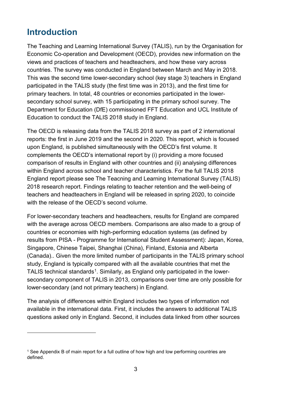## <span id="page-2-0"></span>**Introduction**

-

The Teaching and Learning International Survey (TALIS), run by the Organisation for Economic Co-operation and Development (OECD), provides new information on the views and practices of teachers and headteachers, and how these vary across countries. The survey was conducted in England between March and May in 2018. This was the second time lower-secondary school (key stage 3) teachers in England participated in the TALIS study (the first time was in 2013), and the first time for primary teachers. In total, 48 countries or economies participated in the lowersecondary school survey, with 15 participating in the primary school survey. The Department for Education (DfE) commissioned FFT Education and UCL Institute of Education to conduct the TALIS 2018 study in England.

The OECD is releasing data from the TALIS 2018 survey as part of 2 international reports: the first in June 2019 and the second in 2020. This report, which is focused upon England, is published simultaneously with the OECD's first volume. It complements the OECD's international report by (i) providing a more focused comparison of results in England with other countries and (ii) analysing differences within England across school and teacher characteristics. For the full TALIS 2018 England report please see The Teacning and Learning International Survey (TALIS) 2018 research report. Findings relating to teacher retention and the well-being of teachers and headteachers in England will be released in spring 2020, to coincide with the release of the OECD's second volume.

For lower-secondary teachers and headteachers, results for England are compared with the average across OECD members. Comparisons are also made to a group of countries or economies with high-performing education systems (as defined by results from PISA - Programme for International Student Assessment): Japan, Korea, Singapore, Chinese Taipei, Shanghai (China), Finland, Estonia and Alberta (Canada).. Given the more limited number of participants in the TALIS primary school study, England is typically compared with all the available countries that met the TALIS technical standards<sup>1</sup>. Similarly, as England only participated in the lowersecondary component of TALIS in 2013, comparisons over time are only possible for lower-secondary (and not primary teachers) in England.

The analysis of differences within England includes two types of information not available in the international data. First, it includes the answers to additional TALIS questions asked only in England. Second, it includes data linked from other sources

<span id="page-2-1"></span><sup>1</sup> See Appendix B of main report for a full outline of how high and low performing countries are defined.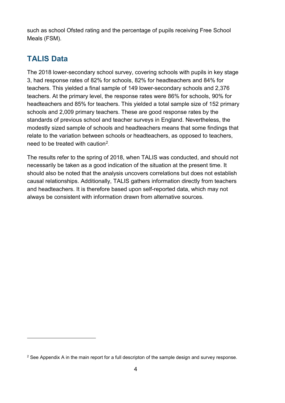such as school Ofsted rating and the percentage of pupils receiving Free School Meals (FSM).

## <span id="page-3-0"></span>**TALIS Data**

-

The 2018 lower-secondary school survey, covering schools with pupils in key stage 3, had response rates of 82% for schools, 82% for headteachers and 84% for teachers. This yielded a final sample of 149 lower-secondary schools and 2,376 teachers. At the primary level, the response rates were 86% for schools, 90% for headteachers and 85% for teachers. This yielded a total sample size of 152 primary schools and 2,009 primary teachers. These are good response rates by the standards of previous school and teacher surveys in England. Nevertheless, the modestly sized sample of schools and headteachers means that some findings that relate to the variation between schools or headteachers, as opposed to teachers, need to be treated with caution[2.](#page-3-1)

The results refer to the spring of 2018, when TALIS was conducted, and should not necessarily be taken as a good indication of the situation at the present time. It should also be noted that the analysis uncovers correlations but does not establish causal relationships. Additionally, TALIS gathers information directly from teachers and headteachers. It is therefore based upon self-reported data, which may not always be consistent with information drawn from alternative sources.

<span id="page-3-1"></span><sup>&</sup>lt;sup>2</sup> See Appendix A in the main report for a full descripton of the sample design and survey response.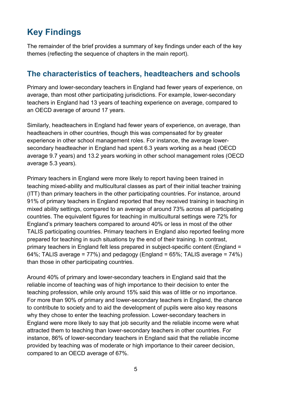## <span id="page-4-0"></span>**Key Findings**

The remainder of the brief provides a summary of key findings under each of the key themes (reflecting the sequence of chapters in the main report).

### <span id="page-4-1"></span>**The characteristics of teachers, headteachers and schools**

Primary and lower-secondary teachers in England had fewer years of experience, on average, than most other participating jurisdictions. For example, lower-secondary teachers in England had 13 years of teaching experience on average, compared to an OECD average of around 17 years.

Similarly, headteachers in England had fewer years of experience, on average, than headteachers in other countries, though this was compensated for by greater experience in other school management roles. For instance, the average lowersecondary headteacher in England had spent 6.3 years working as a head (OECD average 9.7 years) and 13.2 years working in other school management roles (OECD average 5.3 years).

Primary teachers in England were more likely to report having been trained in teaching mixed-ability and multicultural classes as part of their initial teacher training (ITT) than primary teachers in the other participating countries. For instance, around 91% of primary teachers in England reported that they received training in teaching in mixed ability settings, compared to an average of around 73% across all participating countries. The equivalent figures for teaching in multicultural settings were 72% for England's primary teachers compared to around 40% or less in most of the other TALIS participating countries. Primary teachers in England also reported feeling more prepared for teaching in such situations by the end of their training. In contrast, primary teachers in England felt less prepared in subject-specific content (England = 64%; TALIS average =  $77\%$ ) and pedagogy (England =  $65\%$ ; TALIS average =  $74\%$ ) than those in other participating countries.

Around 40% of primary and lower-secondary teachers in England said that the reliable income of teaching was of high importance to their decision to enter the teaching profession, while only around 15% said this was of little or no importance. For more than 90% of primary and lower-secondary teachers in England, the chance to contribute to society and to aid the development of pupils were also key reasons why they chose to enter the teaching profession. Lower-secondary teachers in England were more likely to say that job security and the reliable income were what attracted them to teaching than lower-secondary teachers in other countries. For instance, 86% of lower-secondary teachers in England said that the reliable income provided by teaching was of moderate or high importance to their career decision, compared to an OECD average of 67%.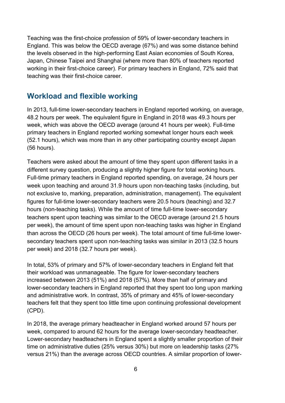Teaching was the first-choice profession of 59% of lower-secondary teachers in England. This was below the OECD average (67%) and was some distance behind the levels observed in the high-performing East Asian economies of South Korea, Japan, Chinese Taipei and Shanghai (where more than 80% of teachers reported working in their first-choice career). For primary teachers in England, 72% said that teaching was their first-choice career.

#### <span id="page-5-0"></span>**Workload and flexible working**

In 2013, full-time lower-secondary teachers in England reported working, on average, 48.2 hours per week. The equivalent figure in England in 2018 was 49.3 hours per week, which was above the OECD average (around 41 hours per week). Full-time primary teachers in England reported working somewhat longer hours each week (52.1 hours), which was more than in any other participating country except Japan (56 hours).

Teachers were asked about the amount of time they spent upon different tasks in a different survey question, producing a slightly higher figure for total working hours. Full-time primary teachers in England reported spending, on average, 24 hours per week upon teaching and around 31.9 hours upon non-teaching tasks (including, but not exclusive to, marking, preparation, administration, management). The equivalent figures for full-time lower-secondary teachers were 20.5 hours (teaching) and 32.7 hours (non-teaching tasks). While the amount of time full-time lower-secondary teachers spent upon teaching was similar to the OECD average (around 21.5 hours per week), the amount of time spent upon non-teaching tasks was higher in England than across the OECD (26 hours per week). The total amount of time full-time lowersecondary teachers spent upon non-teaching tasks was similar in 2013 (32.5 hours per week) and 2018 (32.7 hours per week).

In total, 53% of primary and 57% of lower-secondary teachers in England felt that their workload was unmanageable. The figure for lower-secondary teachers increased between 2013 (51%) and 2018 (57%). More than half of primary and lower-secondary teachers in England reported that they spent too long upon marking and administrative work. In contrast, 35% of primary and 45% of lower-secondary teachers felt that they spent too little time upon continuing professional development (CPD).

In 2018, the average primary headteacher in England worked around 57 hours per week, compared to around 62 hours for the average lower-secondary headteacher. Lower-secondary headteachers in England spent a slightly smaller proportion of their time on administrative duties (25% versus 30%) but more on leadership tasks (27% versus 21%) than the average across OECD countries. A similar proportion of lower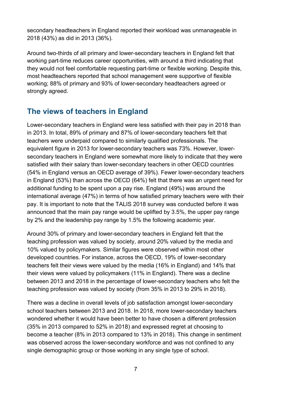secondary headteachers in England reported their workload was unmanageable in 2018 (43%) as did in 2013 (36%).

Around two-thirds of all primary and lower-secondary teachers in England felt that working part-time reduces career opportunities, with around a third indicating that they would not feel comfortable requesting part-time or flexible working. Despite this, most headteachers reported that school management were supportive of flexible working; 88% of primary and 93% of lower-secondary headteachers agreed or strongly agreed.

#### <span id="page-6-0"></span>**The views of teachers in England**

Lower-secondary teachers in England were less satisfied with their pay in 2018 than in 2013. In total, 89% of primary and 87% of lower-secondary teachers felt that teachers were underpaid compared to similarly qualified professionals. The equivalent figure in 2013 for lower-secondary teachers was 73%. However, lowersecondary teachers in England were somewhat more likely to indicate that they were satisfied with their salary than lower-secondary teachers in other OECD countries (54% in England versus an OECD average of 39%). Fewer lower-secondary teachers in England (53%) than across the OECD (64%) felt that there was an urgent need for additional funding to be spent upon a pay rise. England (49%) was around the international average (47%) in terms of how satisfied primary teachers were with their pay. It is important to note that the TALIS 2018 survey was conducted before it was announced that the main pay range would be uplifted by 3.5%, the upper pay range by 2% and the leadership pay range by 1.5% the following academic year.

Around 30% of primary and lower-secondary teachers in England felt that the teaching profession was valued by society, around 20% valued by the media and 10% valued by policymakers. Similar figures were observed within most other developed countries. For instance, across the OECD, 19% of lower-secondary teachers felt their views were valued by the media (16% in England) and 14% that their views were valued by policymakers (11% in England). There was a decline between 2013 and 2018 in the percentage of lower-secondary teachers who felt the teaching profession was valued by society (from 35% in 2013 to 29% in 2018).

There was a decline in overall levels of job satisfaction amongst lower-secondary school teachers between 2013 and 2018. In 2018, more lower-secondary teachers wondered whether it would have been better to have chosen a different profession (35% in 2013 compared to 52% in 2018) and expressed regret at choosing to become a teacher (8% in 2013 compared to 13% in 2018). This change in sentiment was observed across the lower-secondary workforce and was not confined to any single demographic group or those working in any single type of school.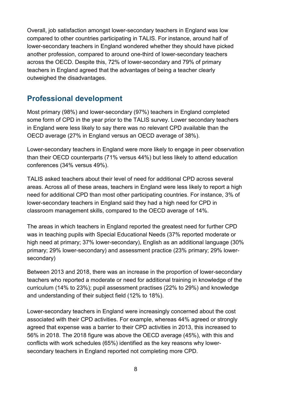Overall, job satisfaction amongst lower-secondary teachers in England was low compared to other countries participating in TALIS. For instance, around half of lower-secondary teachers in England wondered whether they should have picked another profession, compared to around one-third of lower-secondary teachers across the OECD. Despite this, 72% of lower-secondary and 79% of primary teachers in England agreed that the advantages of being a teacher clearly outweighed the disadvantages.

#### <span id="page-7-0"></span>**Professional development**

Most primary (98%) and lower-secondary (97%) teachers in England completed some form of CPD in the year prior to the TALIS survey. Lower secondary teachers in England were less likely to say there was no relevant CPD available than the OECD average (27% in England versus an OECD average of 38%).

Lower-secondary teachers in England were more likely to engage in peer observation than their OECD counterparts (71% versus 44%) but less likely to attend education conferences (34% versus 49%).

TALIS asked teachers about their level of need for additional CPD across several areas. Across all of these areas, teachers in England were less likely to report a high need for additional CPD than most other participating countries. For instance, 3% of lower-secondary teachers in England said they had a high need for CPD in classroom management skills, compared to the OECD average of 14%.

The areas in which teachers in England reported the greatest need for further CPD was in teaching pupils with Special Educational Needs (37% reported moderate or high need at primary; 37% lower-secondary), English as an additional language (30% primary; 29% lower-secondary) and assessment practice (23% primary; 29% lowersecondary)

Between 2013 and 2018, there was an increase in the proportion of lower-secondary teachers who reported a moderate or need for additional training in knowledge of the curriculum (14% to 23%); pupil assessment practises (22% to 29%) and knowledge and understanding of their subject field (12% to 18%).

Lower-secondary teachers in England were increasingly concerned about the cost associated with their CPD activities. For example, whereas 44% agreed or strongly agreed that expense was a barrier to their CPD activities in 2013, this increased to 56% in 2018. The 2018 figure was above the OECD average (45%), with this and conflicts with work schedules (65%) identified as the key reasons why lowersecondary teachers in England reported not completing more CPD.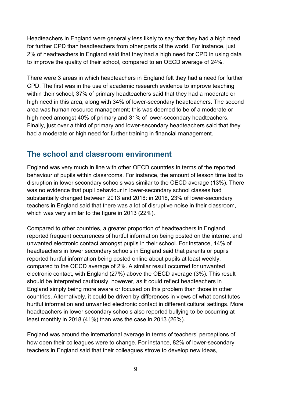Headteachers in England were generally less likely to say that they had a high need for further CPD than headteachers from other parts of the world. For instance, just 2% of headteachers in England said that they had a high need for CPD in using data to improve the quality of their school, compared to an OECD average of 24%.

There were 3 areas in which headteachers in England felt they had a need for further CPD. The first was in the use of academic research evidence to improve teaching within their school; 37% of primary headteachers said that they had a moderate or high need in this area, along with 34% of lower-secondary headteachers. The second area was human resource management; this was deemed to be of a moderate or high need amongst 40% of primary and 31% of lower-secondary headteachers. Finally, just over a third of primary and lower-secondary headteachers said that they had a moderate or high need for further training in financial management.

#### <span id="page-8-0"></span>**The school and classroom environment**

England was very much in line with other OECD countries in terms of the reported behaviour of pupils within classrooms. For instance, the amount of lesson time lost to disruption in lower secondary schools was similar to the OECD average (13%). There was no evidence that pupil behaviour in lower-secondary school classes had substantially changed between 2013 and 2018: in 2018, 23% of lower-secondary teachers in England said that there was a lot of disruptive noise in their classroom, which was very similar to the figure in 2013 (22%).

Compared to other countries, a greater proportion of headteachers in England reported frequent occurrences of hurtful information being posted on the internet and unwanted electronic contact amongst pupils in their school. For instance, 14% of headteachers in lower secondary schools in England said that parents or pupils reported hurtful information being posted online about pupils at least weekly, compared to the OECD average of 2%. A similar result occurred for unwanted electronic contact, with England (27%) above the OECD average (3%). This result should be interpreted cautiously, however, as it could reflect headteachers in England simply being more aware or focused on this problem than those in other countries. Alternatively, it could be driven by differences in views of what constitutes hurtful information and unwanted electronic contact in different cultural settings. More headteachers in lower secondary schools also reported bullying to be occurring at least monthly in 2018 (41%) than was the case in 2013 (26%).

<span id="page-8-1"></span>England was around the international average in terms of teachers' perceptions of how open their colleagues were to change. For instance, 82% of lower-secondary teachers in England said that their colleagues strove to develop new ideas,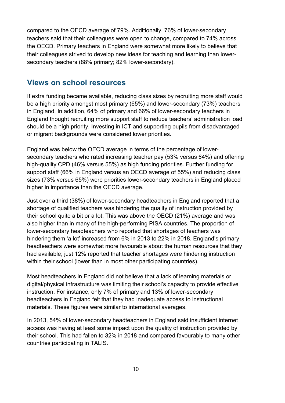compared to the OECD average of 79%. Additionally, 76% of lower-secondary teachers said that their colleagues were open to change, compared to 74% across the OECD. Primary teachers in England were somewhat more likely to believe that their colleagues strived to develop new ideas for teaching and learning than lowersecondary teachers (88% primary; 82% lower-secondary).

#### **Views on school resources**

If extra funding became available, reducing class sizes by recruiting more staff would be a high priority amongst most primary (65%) and lower-secondary (73%) teachers in England. In addition, 64% of primary and 66% of lower-secondary teachers in England thought recruiting more support staff to reduce teachers' administration load should be a high priority. Investing in ICT and supporting pupils from disadvantaged or migrant backgrounds were considered lower priorities.

England was below the OECD average in terms of the percentage of lowersecondary teachers who rated increasing teacher pay (53% versus 64%) and offering high-quality CPD (46% versus 55%) as high funding priorities. Further funding for support staff (66% in England versus an OECD average of 55%) and reducing class sizes (73% versus 65%) were priorities lower-secondary teachers in England placed higher in importance than the OECD average.

Just over a third (38%) of lower-secondary headteachers in England reported that a shortage of qualified teachers was hindering the quality of instruction provided by their school quite a bit or a lot. This was above the OECD (21%) average and was also higher than in many of the high-performing PISA countries. The proportion of lower-secondary headteachers who reported that shortages of teachers was hindering them 'a lot' increased from 6% in 2013 to 22% in 2018. England's primary headteachers were somewhat more favourable about the human resources that they had available; just 12% reported that teacher shortages were hindering instruction within their school (lower than in most other participating countries).

Most headteachers in England did not believe that a lack of learning materials or digital/physical infrastructure was limiting their school's capacity to provide effective instruction. For instance, only 7% of primary and 13% of lower-secondary headteachers in England felt that they had inadequate access to instructional materials. These figures were similar to international averages.

In 2013, 54% of lower-secondary headteachers in England said insufficient internet access was having at least some impact upon the quality of instruction provided by their school. This had fallen to 32% in 2018 and compared favourably to many other countries participating in TALIS.